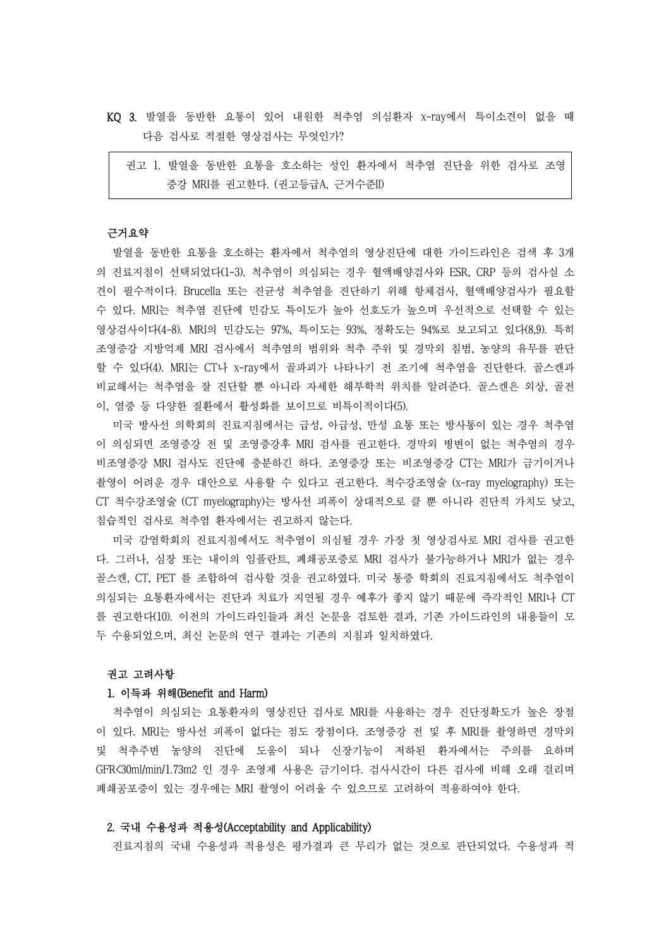- KQ 3. 발열을 동반한 요통이 있어 내원한 척추염 의심환자 x-ray에서 특이소견이 없을 때 다음 검사로 적절한 영상검사는 무엇인가?
	- 권고 1. 발열을 동반한 요통을 호소하는 성인 환자에서 척추염 진단을 위한 검사로 조영 증강 MRI를 권고한다. (권고등급A, 근거수준II)

#### 근거요약

발열을 동반한 요통을 호소하는 환자에서 척추염의 영상진단에 대한 가이드라인은 검색 후 3개 의 진료지침이 선택되었다(1-3). 척추염이 의심되는 경우 혈액배양검사와 ESR, CRP 등의 검사실 소 견이 필수적이다. Brucella 또는 진균성 척추염을 진단하기 위해 항체검사, 혈액배양검사가 필요할 수 있다. MRI는 척추염 진단에 민감도 특이도가 높아 선호도가 높으며 우선적으로 선택할 수 있는 영상검사이다(4-8). MRI의 민감도는 97%, 특이도는 93%, 정확도는 94%로 보고되고 있다(8,9). 특히 조영증강 지방억제 MRI 검사에서 척추염의 범위와 척추 주위 및 경막외 침범, 농양의 유무를 판단 할 수 있다(4). MRI는 CT나 x-ray에서 골파괴가 나타나기 전 조기에 척추염을 진단한다. 골스캔과 비교해서는 척추염을 잘 진단할 뿐 아니라 자세한 해부학적 위치를 알려준다. 골스캔은 외상, 골전 이, 염증 등 다양한 질환에서 활성화를 보이므로 비특이적이다(5).

미국 방사선 의학회의 진료지침에서는 급성, 아급성, 만성 요통 또는 방사통이 있는 경우 척추염 이 의심되면 조영증강 전 및 조영증강후 MRI 검사를 권고한다. 경막외 병변이 없는 척추염의 경우 비조영증강 MRI 검사도 진단에 충분하긴 하다. 조영증강 또는 비조영증강 CT는 MRI가 금기이거나 촬영이 어려운 경우 대안으로 사용할 수 있다고 권고한다. 척수강조영술 (x-ray myelography) 또는 CT 척수강조영술 (CT myelography)는 방사선 피폭이 상대적으로 클 뿐 아니라 진단적 가치도 낮고,<br>침습적인 검사로 척추염 환자에서는 권고하지 않는다.<br>미국 감염학회의 진료지침에서도 척추염이 의심될 경우 가장 첫 영상검사로 MRI 검사를 권고한

다. 그러나, 심장 또는 내이의 임플란트, 폐쇄공포증로 MRI 검사가 불가능하거나 MRI가 없는 경우 골스캔, CT, PET 를 조합하여 검사할 것을 권고하였다. 미국 통증 학회의 진료지침에서도 척추염이 의심되는 요통환자에서는 진단과 치료가 지연될 경우 예후가 좋지 않기 때문에 즉각적인 MRI나 CT 를 권고한다(10). 이전의 가이드라인들과 최신 논문을 검토한 결과, 기존 가이드라인의 내용들이 모 두 수용되었으며, 최신 논문의 연구 결과는 기존의 지침과 일치하였다.

## 권고 고려사항

# 1. 이득과 위해(Benefit and Harm)

척추염이 의심되는 요통환자의 영상진단 검사로 MRI를 사용하는 경우 진단정확도가 높은 장점 이 있다. MRI는 방사선 피폭이 없다는 점도 장점이다. 조영증강 전 및 후 MRI를 촬영하면 경막외 및 척추주변 농양의 진단에 도움이 되나 신장기능이 저하된 환자에서는 주의를 요하며 GFR<30ml/min/1.73m2 인 경우 조영제 사용은 금기이다. 검사시간이 다른 검사에 비해 오래 걸리며 폐쇄공포증이 있는 경우에는 MRI 촬영이 어려울 수 있으므로 고려하여 적용하여야 한다.

### 2. 국내 수용성과 적용성(Acceptability and Applicability)

진료지침의 국내 수용성과 적용성은 평가결과 큰 무리가 없는 것으로 판단되었다. 수용성과 적